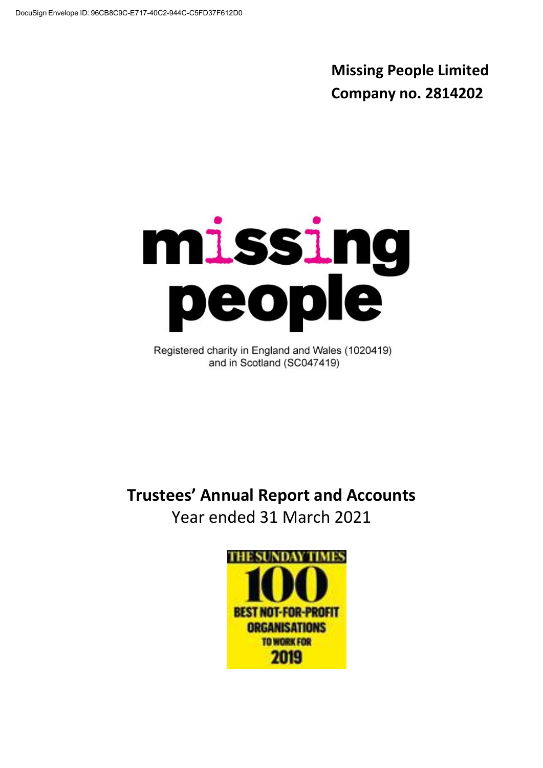**Missing People Limited Company no. 2814202**

# missing<br>people

Registered charity in England and Wales (1020419) and in Scotland (SC047419)

**Trustees' Annual Report and Accounts** Year ended 31 March 2021

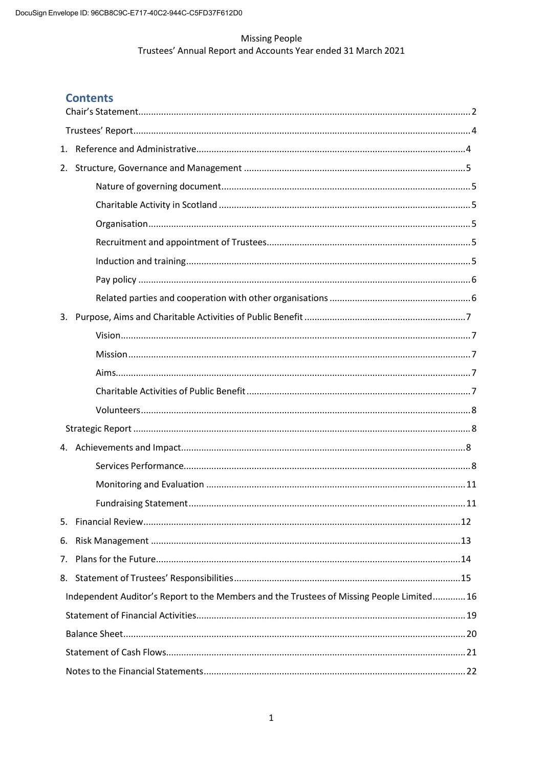# **Contents**

| 1. |                                                                                           |  |
|----|-------------------------------------------------------------------------------------------|--|
| 2. |                                                                                           |  |
|    |                                                                                           |  |
|    |                                                                                           |  |
|    |                                                                                           |  |
|    |                                                                                           |  |
|    |                                                                                           |  |
|    |                                                                                           |  |
|    |                                                                                           |  |
| 3. |                                                                                           |  |
|    |                                                                                           |  |
|    |                                                                                           |  |
|    |                                                                                           |  |
|    |                                                                                           |  |
|    |                                                                                           |  |
|    |                                                                                           |  |
|    |                                                                                           |  |
|    |                                                                                           |  |
|    |                                                                                           |  |
|    |                                                                                           |  |
|    |                                                                                           |  |
| 6. |                                                                                           |  |
| 7. |                                                                                           |  |
| 8. |                                                                                           |  |
|    | Independent Auditor's Report to the Members and the Trustees of Missing People Limited 16 |  |
|    |                                                                                           |  |
|    |                                                                                           |  |
|    |                                                                                           |  |
|    |                                                                                           |  |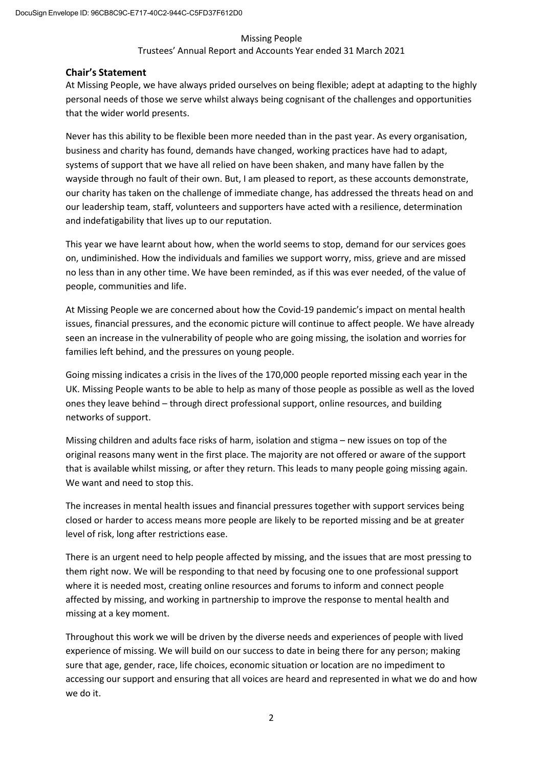## Trustees' Annual Report and Accounts Year ended 31 March 2021

# <span id="page-2-0"></span>**Chair's Statement**

At Missing People, we have always prided ourselves on being flexible; adept at adapting to the highly personal needs of those we serve whilst always being cognisant of the challenges and opportunities that the wider world presents.

Never has this ability to be flexible been more needed than in the past year. As every organisation, business and charity has found, demands have changed, working practices have had to adapt, systems of support that we have all relied on have been shaken, and many have fallen by the wayside through no fault of their own. But, I am pleased to report, as these accounts demonstrate, our charity has taken on the challenge of immediate change, has addressed the threats head on and our leadership team, staff, volunteers and supporters have acted with a resilience, determination and indefatigability that lives up to our reputation.

This year we have learnt about how, when the world seems to stop, demand for our services goes on, undiminished. How the individuals and families we support worry, miss, grieve and are missed no less than in any other time. We have been reminded, as if this was ever needed, of the value of people, communities and life.

At Missing People we are concerned about how the Covid-19 pandemic's impact on mental health issues, financial pressures, and the economic picture will continue to affect people. We have already seen an increase in the vulnerability of people who are going missing, the isolation and worries for families left behind, and the pressures on young people.

Going missing indicates a crisis in the lives of the 170,000 people reported missing each year in the UK. Missing People wants to be able to help as many of those people as possible as well as the loved ones they leave behind – through direct professional support, online resources, and building networks of support.

Missing children and adults face risks of harm, isolation and stigma – new issues on top of the original reasons many went in the first place. The majority are not offered or aware of the support that is available whilst missing, or after they return. This leads to many people going missing again. We want and need to stop this.

The increases in mental health issues and financial pressures together with support services being closed or harder to access means more people are likely to be reported missing and be at greater level of risk, long after restrictions ease.

There is an urgent need to help people affected by missing, and the issues that are most pressing to them right now. We will be responding to that need by focusing one to one professional support where it is needed most, creating online resources and forums to inform and connect people affected by missing, and working in partnership to improve the response to mental health and missing at a key moment.

Throughout this work we will be driven by the diverse needs and experiences of people with lived experience of missing. We will build on our success to date in being there for any person; making sure that age, gender, race, life choices, economic situation or location are no impediment to accessing our support and ensuring that all voices are heard and represented in what we do and how we do it.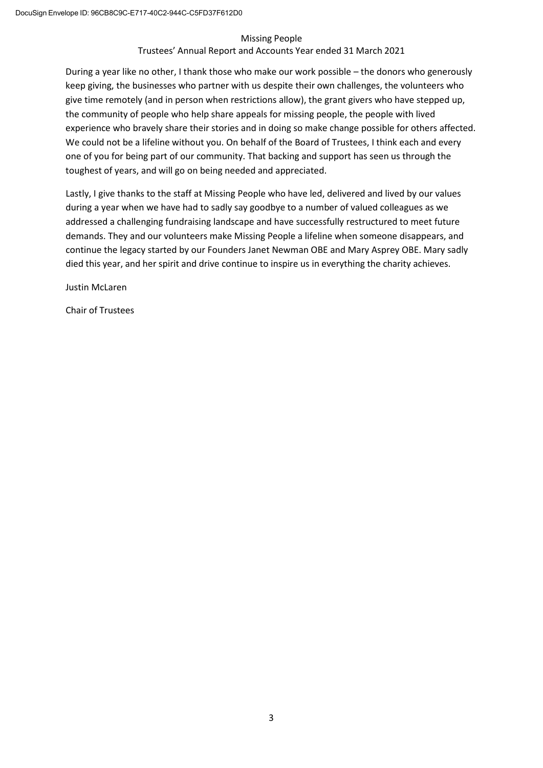## Trustees' Annual Report and Accounts Year ended 31 March 2021

During a year like no other, I thank those who make our work possible – the donors who generously keep giving, the businesses who partner with us despite their own challenges, the volunteers who give time remotely (and in person when restrictions allow), the grant givers who have stepped up, the community of people who help share appeals for missing people, the people with lived experience who bravely share their stories and in doing so make change possible for others affected. We could not be a lifeline without you. On behalf of the Board of Trustees, I think each and every one of you for being part of our community. That backing and support has seen us through the toughest of years, and will go on being needed and appreciated.

Lastly, I give thanks to the staff at Missing People who have led, delivered and lived by our values during a year when we have had to sadly say goodbye to a number of valued colleagues as we addressed a challenging fundraising landscape and have successfully restructured to meet future demands. They and our volunteers make Missing People a lifeline when someone disappears, and continue the legacy started by our Founders Janet Newman OBE and Mary Asprey OBE. Mary sadly died this year, and her spirit and drive continue to inspire us in everything the charity achieves.

Justin McLaren

Chair of Trustees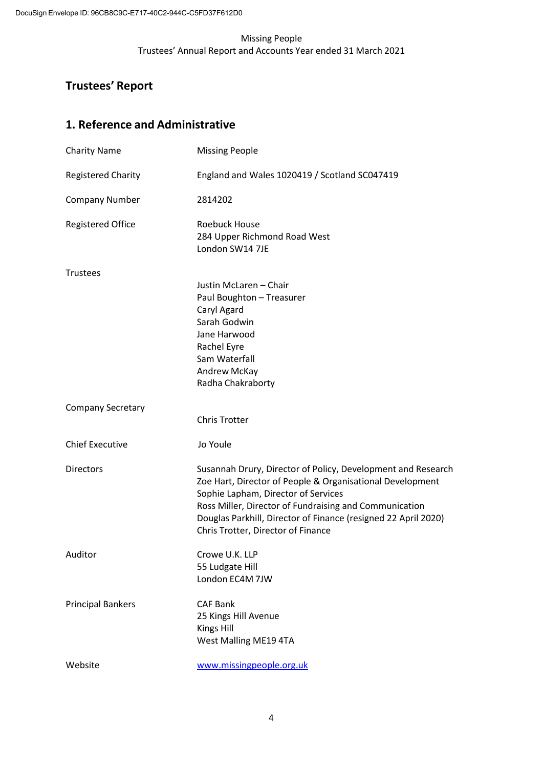# <span id="page-4-0"></span>**Trustees' Report**

# <span id="page-4-1"></span>**1. Reference and Administrative**

| <b>Charity Name</b>       | <b>Missing People</b>                                                                                                                                                                                                                                                                                                              |
|---------------------------|------------------------------------------------------------------------------------------------------------------------------------------------------------------------------------------------------------------------------------------------------------------------------------------------------------------------------------|
| <b>Registered Charity</b> | England and Wales 1020419 / Scotland SC047419                                                                                                                                                                                                                                                                                      |
| <b>Company Number</b>     | 2814202                                                                                                                                                                                                                                                                                                                            |
| <b>Registered Office</b>  | <b>Roebuck House</b><br>284 Upper Richmond Road West<br>London SW14 7JE                                                                                                                                                                                                                                                            |
| <b>Trustees</b>           | Justin McLaren - Chair<br>Paul Boughton - Treasurer<br>Caryl Agard<br>Sarah Godwin<br>Jane Harwood<br>Rachel Eyre<br>Sam Waterfall<br>Andrew McKay<br>Radha Chakraborty                                                                                                                                                            |
| <b>Company Secretary</b>  | <b>Chris Trotter</b>                                                                                                                                                                                                                                                                                                               |
| <b>Chief Executive</b>    | Jo Youle                                                                                                                                                                                                                                                                                                                           |
| <b>Directors</b>          | Susannah Drury, Director of Policy, Development and Research<br>Zoe Hart, Director of People & Organisational Development<br>Sophie Lapham, Director of Services<br>Ross Miller, Director of Fundraising and Communication<br>Douglas Parkhill, Director of Finance (resigned 22 April 2020)<br>Chris Trotter, Director of Finance |
| Auditor                   | Crowe U.K. LLP<br>55 Ludgate Hill<br>London EC4M 7JW                                                                                                                                                                                                                                                                               |
| <b>Principal Bankers</b>  | <b>CAF Bank</b><br>25 Kings Hill Avenue<br><b>Kings Hill</b><br>West Malling ME19 4TA                                                                                                                                                                                                                                              |
| Website                   | www.missingpeople.org.uk                                                                                                                                                                                                                                                                                                           |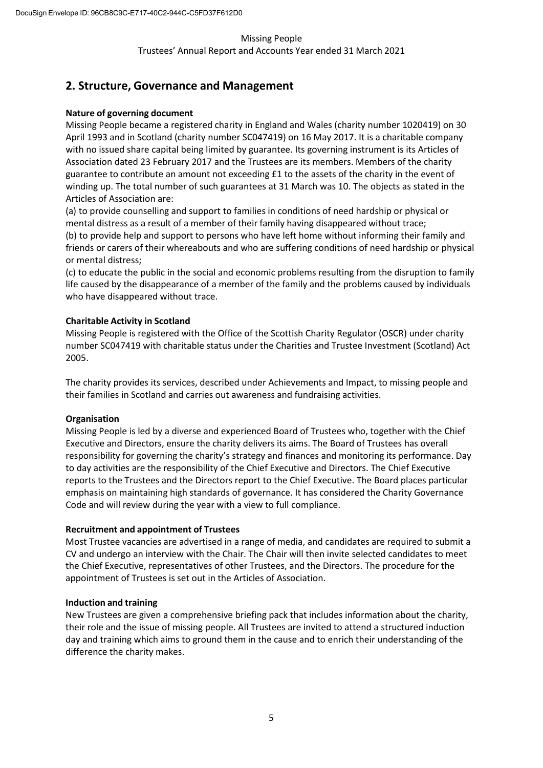Trustees' Annual Report and Accounts Year ended 31 March 2021

# <span id="page-5-0"></span>**2. Structure, Governance and Management**

## <span id="page-5-1"></span>**Nature of governing document**

Missing People became a registered charity in England and Wales (charity number 1020419) on 30 April 1993 and in Scotland (charity number SC047419) on 16 May 2017. It is a charitable company with no issued share capital being limited by guarantee. Its governing instrument is its Articles of Association dated 23 February 2017 and the Trustees are its members. Members of the charity guarantee to contribute an amount not exceeding £1 to the assets of the charity in the event of winding up. The total number of such guarantees at 31 March was 10. The objects as stated in the Articles of Association are:

(a) to provide counselling and support to families in conditions of need hardship or physical or mental distress as a result of a member of their family having disappeared without trace; (b) to provide help and support to persons who have left home without informing their family and

friends or carers of their whereabouts and who are suffering conditions of need hardship or physical or mental distress;

(c) to educate the public in the social and economic problems resulting from the disruption to family life caused by the disappearance of a member of the family and the problems caused by individuals who have disappeared without trace.

# <span id="page-5-2"></span>**Charitable Activity in Scotland**

Missing People is registered with the Office of the Scottish Charity Regulator (OSCR) under charity number SC047419 with charitable status under the Charities and Trustee Investment (Scotland) Act 2005.

The charity provides its services, described under Achievements and Impact, to missing people and their families in Scotland and carries out awareness and fundraising activities.

# <span id="page-5-3"></span>**Organisation**

Missing People is led by a diverse and experienced Board of Trustees who, together with the Chief Executive and Directors, ensure the charity delivers its aims. The Board of Trustees has overall responsibility for governing the charity's strategy and finances and monitoring its performance. Day to day activities are the responsibility of the Chief Executive and Directors. The Chief Executive reports to the Trustees and the Directors report to the Chief Executive. The Board places particular emphasis on maintaining high standards of governance. It has considered the Charity Governance Code and will review during the year with a view to full compliance.

# <span id="page-5-4"></span>**Recruitment and appointment of Trustees**

Most Trustee vacancies are advertised in a range of media, and candidates are required to submit a CV and undergo an interview with the Chair. The Chair will then invite selected candidates to meet the Chief Executive, representatives of other Trustees, and the Directors. The procedure for the appointment of Trustees is set out in the Articles of Association.

## <span id="page-5-5"></span>**Induction and training**

New Trustees are given a comprehensive briefing pack that includes information about the charity, their role and the issue of missing people. All Trustees are invited to attend a structured induction day and training which aims to ground them in the cause and to enrich their understanding of the difference the charity makes.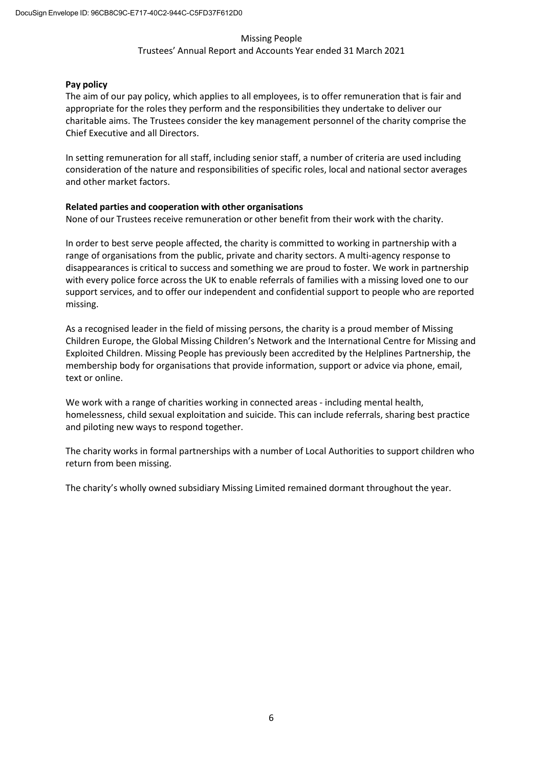## Trustees' Annual Report and Accounts Year ended 31 March 2021

## <span id="page-6-0"></span>**Pay policy**

The aim of our pay policy, which applies to all employees, is to offer remuneration that is fair and appropriate for the roles they perform and the responsibilities they undertake to deliver our charitable aims. The Trustees consider the key management personnel of the charity comprise the Chief Executive and all Directors.

In setting remuneration for all staff, including senior staff, a number of criteria are used including consideration of the nature and responsibilities of specific roles, local and national sector averages and other market factors.

## <span id="page-6-1"></span>**Related parties and cooperation with other organisations**

None of our Trustees receive remuneration or other benefit from their work with the charity.

In order to best serve people affected, the charity is committed to working in partnership with a range of organisations from the public, private and charity sectors. A multi-agency response to disappearances is critical to success and something we are proud to foster. We work in partnership with every police force across the UK to enable referrals of families with a missing loved one to our support services, and to offer our independent and confidential support to people who are reported missing.

As a recognised leader in the field of missing persons, the charity is a proud member of Missing Children Europe, the Global Missing Children's Network and the International Centre for Missing and Exploited Children. Missing People has previously been accredited by the Helplines Partnership, the membership body for organisations that provide information, support or advice via phone, email, text or online.

We work with a range of charities working in connected areas - including mental health, homelessness, child sexual exploitation and suicide. This can include referrals, sharing best practice and piloting new ways to respond together.

The charity works in formal partnerships with a number of Local Authorities to support children who return from been missing.

The charity's wholly owned subsidiary Missing Limited remained dormant throughout the year.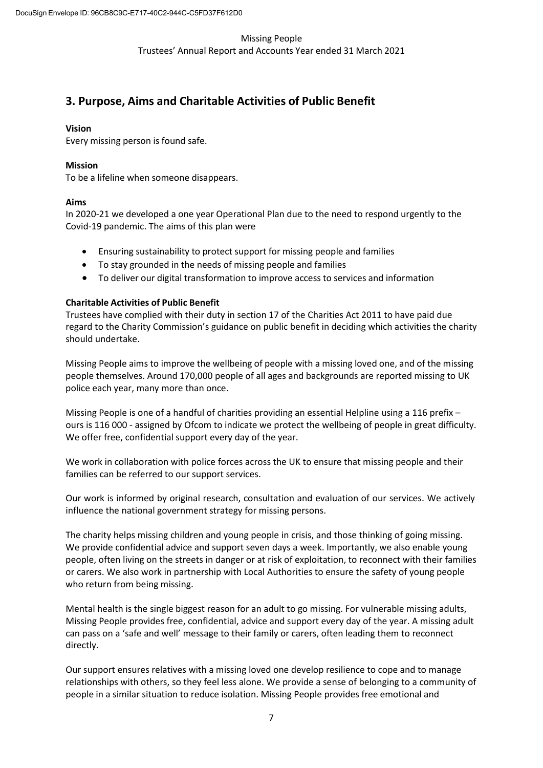# <span id="page-7-0"></span>**3. Purpose, Aims and Charitable Activities of Public Benefit**

## <span id="page-7-1"></span>**Vision**

Every missing person is found safe.

## <span id="page-7-2"></span>**Mission**

To be a lifeline when someone disappears.

## <span id="page-7-3"></span>**Aims**

In 2020-21 we developed a one year Operational Plan due to the need to respond urgently to the Covid-19 pandemic. The aims of this plan were

- Ensuring sustainability to protect support for missing people and families
- To stay grounded in the needs of missing people and families
- To deliver our digital transformation to improve access to services and information

## <span id="page-7-4"></span>**Charitable Activities of Public Benefit**

Trustees have complied with their duty in section 17 of the Charities Act 2011 to have paid due regard to the Charity Commission's guidance on public benefit in deciding which activities the charity should undertake.

Missing People aims to improve the wellbeing of people with a missing loved one, and of the missing people themselves. Around 170,000 people of all ages and backgrounds are reported missing to UK police each year, many more than once.

Missing People is one of a handful of charities providing an essential Helpline using a 116 prefix ours is 116 000 - assigned by Ofcom to indicate we protect the wellbeing of people in great difficulty. We offer free, confidential support every day of the year.

We work in collaboration with police forces across the UK to ensure that missing people and their families can be referred to our support services.

Our work is informed by original research, consultation and evaluation of our services. We actively influence the national government strategy for missing persons.

The charity helps missing children and young people in crisis, and those thinking of going missing. We provide confidential advice and support seven days a week. Importantly, we also enable young people, often living on the streets in danger or at risk of exploitation, to reconnect with their families or carers. We also work in partnership with Local Authorities to ensure the safety of young people who return from being missing.

Mental health is the single biggest reason for an adult to go missing. For vulnerable missing adults, Missing People provides free, confidential, advice and support every day of the year. A missing adult can pass on a 'safe and well' message to their family or carers, often leading them to reconnect directly.

Our support ensures relatives with a missing loved one develop resilience to cope and to manage relationships with others, so they feel less alone. We provide a sense of belonging to a community of people in a similar situation to reduce isolation. Missing People provides free emotional and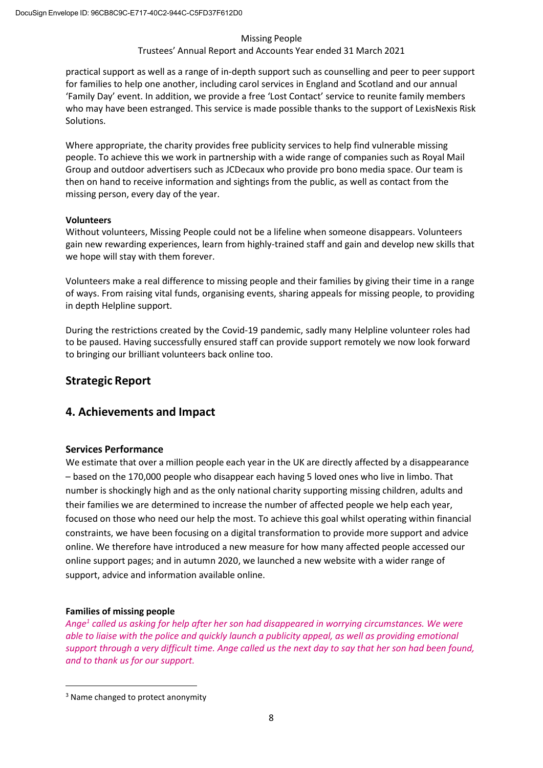# Trustees' Annual Report and Accounts Year ended 31 March 2021

<span id="page-8-4"></span>practical support as well as a range of in-depth support such as counselling and peer to peer support for families to help one another, including carol services in England and Scotland and our annual 'Family Day' event. In addition, we provide a free 'Lost Contact' service to reunite family members who may have been estranged. This service is made possible thanks to the support of LexisNexis Risk Solutions.

Where appropriate, the charity provides free publicity services to help find vulnerable missing people. To achieve this we work in partnership with a wide range of companies such as Royal Mail Group and outdoor advertisers such as JCDecaux who provide pro bono media space. Our team is then on hand to receive information and sightings from the public, as well as contact from the missing person, every day of the year.

# <span id="page-8-0"></span>**Volunteers**

Without volunteers, Missing People could not be a lifeline when someone disappears. Volunteers gain new rewarding experiences, learn from highly-trained staff and gain and develop new skills that we hope will stay with them forever.

Volunteers make a real difference to missing people and their families by giving their time in a range of ways. From raising vital funds, organising events, sharing appeals for missing people, to providing in depth Helpline support.

During the restrictions created by the Covid-19 pandemic, sadly many Helpline volunteer roles had to be paused. Having successfully ensured staff can provide support remotely we now look forward to bringing our brilliant volunteers back online too.

# <span id="page-8-1"></span>**Strategic Report**

# <span id="page-8-2"></span>**4. Achievements and Impact**

# <span id="page-8-3"></span>**Services Performance**

We estimate that over a million people each year in the UK are directly affected by a disappearance – based on the 170,000 people who disappear each having 5 loved ones who live in limbo. That number is shockingly high and as the only national charity supporting missing children, adults and their families we are determined to increase the number of affected people we help each year, focused on those who need our help the most. To achieve this goal whilst operating within financial constraints, we have been focusing on a digital transformation to provide more support and advice online. We therefore have introduced a new measure for how many affected people accessed our online support pages; and in autumn 2020, we launched a new website with a wider range of support, advice and information available online.

# **Families of missing people**

*Ang[e1](#page-8-4) called us asking for help after her son had disappeared in worrying circumstances. We were able to liaise with the police and quickly launch a publicity appeal, as well as providing emotional support through a very difficult time. Ange called us the next day to say that her son had been found, and to thank us for our support.*

<sup>&</sup>lt;sup>3</sup> Name changed to protect anonymity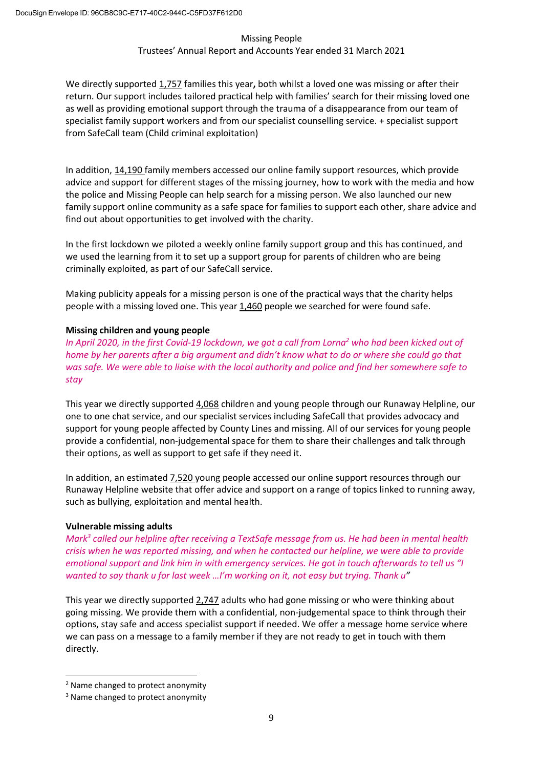# Trustees' Annual Report and Accounts Year ended 31 March 2021

<span id="page-9-1"></span>We directly supported 1,757 families this year**,** both whilst a loved one was missing or after their return. Our support includes tailored practical help with families' search for their missing loved one as well as providing emotional support through the trauma of a disappearance from our team of specialist family support workers and from our specialist counselling service. + specialist support from SafeCall team (Child criminal exploitation)

In addition, 14,190 family members accessed our online family support resources, which provide advice and support for different stages of the missing journey, how to work with the media and how the police and Missing People can help search for a missing person. We also launched our new family support online community as a safe space for families to support each other, share advice and find out about opportunities to get involved with the charity.

In the first lockdown we piloted a weekly online family support group and this has continued, and we used the learning from it to set up a support group for parents of children who are being criminally exploited, as part of our SafeCall service.

Making publicity appeals for a missing person is one of the practical ways that the charity helps people with a missing loved one. This year 1,460 people we searched for were found safe.

# **Missing children and young people**

*In April 2020, in the first Covid-19 lockdown, we got a call from Lorn[a2](#page-9-0) who had been kicked out of home by her parents after a big argument and didn't know what to do or where she could go that was safe. We were able to liaise with the local authority and police and find her somewhere safe to stay*

This year we directly supported 4,068 children and young people through our Runaway Helpline, our one to one chat service, and our specialist services including SafeCall that provides advocacy and support for young people affected by County Lines and missing. All of our services for young people provide a confidential, non-judgemental space for them to share their challenges and talk through their options, as well as support to get safe if they need it.

In addition, an estimated  $7,520$  young people accessed our online support resources through our Runaway Helpline website that offer advice and support on a range of topics linked to running away, such as bullying, exploitation and mental health.

# **Vulnerable missing adults**

*Mar[k3](#page-9-1) called our helpline after receiving a TextSafe message from us. He had been in mental health crisis when he was reported missing, and when he contacted our helpline, we were able to provide emotional support and link him in with emergency services. He got in touch afterwards to tell us "I wanted to say thank u for last week …I'm working on it, not easy but trying. Thank u"*

This year we directly supported 2,747 adults who had gone missing or who were thinking about going missing. We provide them with a confidential, non-judgemental space to think through their options, stay safe and access specialist support if needed. We offer a message home service where we can pass on a message to a family member if they are not ready to get in touch with them directly.

<span id="page-9-0"></span><sup>2</sup> Name changed to protect anonymity

<sup>&</sup>lt;sup>3</sup> Name changed to protect anonymity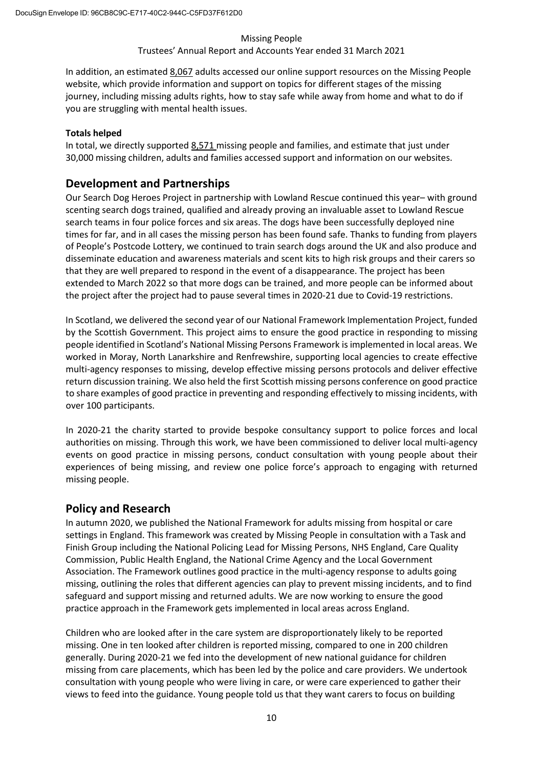## Trustees' Annual Report and Accounts Year ended 31 March 2021

In addition, an estimated 8,067 adults accessed our online support resources on the Missing People website, which provide information and support on topics for different stages of the missing journey, including missing adults rights, how to stay safe while away from home and what to do if you are struggling with mental health issues.

## **Totals helped**

In total, we directly supported 8,571 missing people and families, and estimate that just under 30,000 missing children, adults and families accessed support and information on our websites.

# **Development and Partnerships**

Our Search Dog Heroes Project in partnership with Lowland Rescue continued this year– with ground scenting search dogs trained, qualified and already proving an invaluable asset to Lowland Rescue search teams in four police forces and six areas. The dogs have been successfully deployed nine times for far, and in all cases the missing person has been found safe. Thanks to funding from players of People's Postcode Lottery, we continued to train search dogs around the UK and also produce and disseminate education and awareness materials and scent kits to high risk groups and their carers so that they are well prepared to respond in the event of a disappearance. The project has been extended to March 2022 so that more dogs can be trained, and more people can be informed about the project after the project had to pause several times in 2020-21 due to Covid-19 restrictions.

In Scotland, we delivered the second year of our National Framework Implementation Project, funded by the Scottish Government. This project aims to ensure the good practice in responding to missing people identified in Scotland's National Missing Persons Framework is implemented in local areas. We worked in Moray, North Lanarkshire and Renfrewshire, supporting local agencies to create effective multi-agency responses to missing, develop effective missing persons protocols and deliver effective return discussion training. We also held the first Scottish missing persons conference on good practice to share examples of good practice in preventing and responding effectively to missing incidents, with over 100 participants.

In 2020-21 the charity started to provide bespoke consultancy support to police forces and local authorities on missing. Through this work, we have been commissioned to deliver local multi-agency events on good practice in missing persons, conduct consultation with young people about their experiences of being missing, and review one police force's approach to engaging with returned missing people.

# **Policy and Research**

In autumn 2020, we published the National Framework for adults missing from hospital or care settings in England. This framework was created by Missing People in consultation with a Task and Finish Group including the National Policing Lead for Missing Persons, NHS England, Care Quality Commission, Public Health England, the National Crime Agency and the Local Government Association. The Framework outlines good practice in the multi-agency response to adults going missing, outlining the roles that different agencies can play to prevent missing incidents, and to find safeguard and support missing and returned adults. We are now working to ensure the good practice approach in the Framework gets implemented in local areas across England.

Children who are looked after in the care system are disproportionately likely to be reported missing. One in ten looked after children is reported missing, compared to one in 200 children generally. During 2020-21 we fed into the development of new national guidance for children missing from care placements, which has been led by the police and care providers. We undertook consultation with young people who were living in care, or were care experienced to gather their views to feed into the guidance. Young people told us that they want carers to focus on building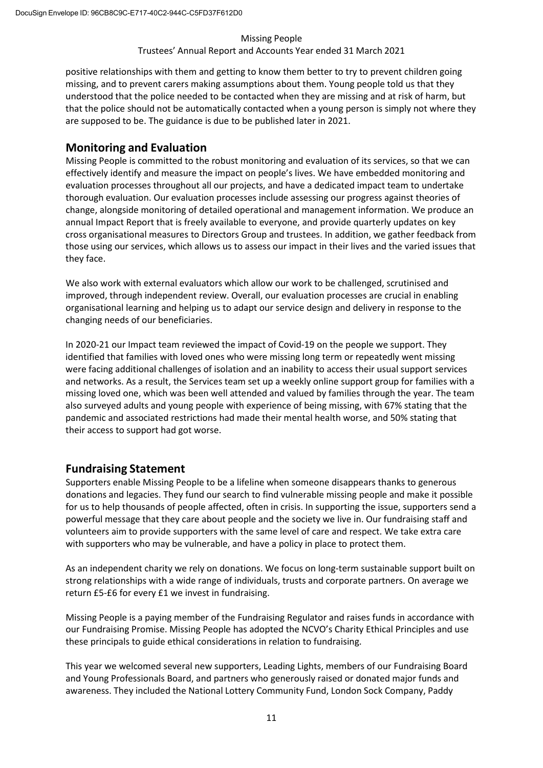# Trustees' Annual Report and Accounts Year ended 31 March 2021

positive relationships with them and getting to know them better to try to prevent children going missing, and to prevent carers making assumptions about them. Young people told us that they understood that the police needed to be contacted when they are missing and at risk of harm, but that the police should not be automatically contacted when a young person is simply not where they are supposed to be. The guidance is due to be published later in 2021.

# <span id="page-11-0"></span>**Monitoring and Evaluation**

Missing People is committed to the robust monitoring and evaluation of its services, so that we can effectively identify and measure the impact on people's lives. We have embedded monitoring and evaluation processes throughout all our projects, and have a dedicated impact team to undertake thorough evaluation. Our evaluation processes include assessing our progress against theories of change, alongside monitoring of detailed operational and management information. We produce an annual Impact Report that is freely available to everyone, and provide quarterly updates on key cross organisational measures to Directors Group and trustees. In addition, we gather feedback from those using our services, which allows us to assess our impact in their lives and the varied issues that they face.

We also work with external evaluators which allow our work to be challenged, scrutinised and improved, through independent review. Overall, our evaluation processes are crucial in enabling organisational learning and helping us to adapt our service design and delivery in response to the changing needs of our beneficiaries.

In 2020-21 our Impact team reviewed the impact of Covid-19 on the people we support. They identified that families with loved ones who were missing long term or repeatedly went missing were facing additional challenges of isolation and an inability to access their usual support services and networks. As a result, the Services team set up a weekly online support group for families with a missing loved one, which was been well attended and valued by families through the year. The team also surveyed adults and young people with experience of being missing, with 67% stating that the pandemic and associated restrictions had made their mental health worse, and 50% stating that their access to support had got worse.

# <span id="page-11-1"></span>**Fundraising Statement**

Supporters enable Missing People to be a lifeline when someone disappears thanks to generous donations and legacies. They fund our search to find vulnerable missing people and make it possible for us to help thousands of people affected, often in crisis. In supporting the issue, supporters send a powerful message that they care about people and the society we live in. Our fundraising staff and volunteers aim to provide supporters with the same level of care and respect. We take extra care with supporters who may be vulnerable, and have a policy in place to protect them.

As an independent charity we rely on donations. We focus on long-term sustainable support built on strong relationships with a wide range of individuals, trusts and corporate partners. On average we return £5-£6 for every £1 we invest in fundraising.

Missing People is a paying member of the Fundraising Regulator and raises funds in accordance with our Fundraising Promise. Missing People has adopted the NCVO's Charity Ethical Principles and use these principals to guide ethical considerations in relation to fundraising.

This year we welcomed several new supporters, Leading Lights, members of our Fundraising Board and Young Professionals Board, and partners who generously raised or donated major funds and awareness. They included the National Lottery Community Fund, London Sock Company, Paddy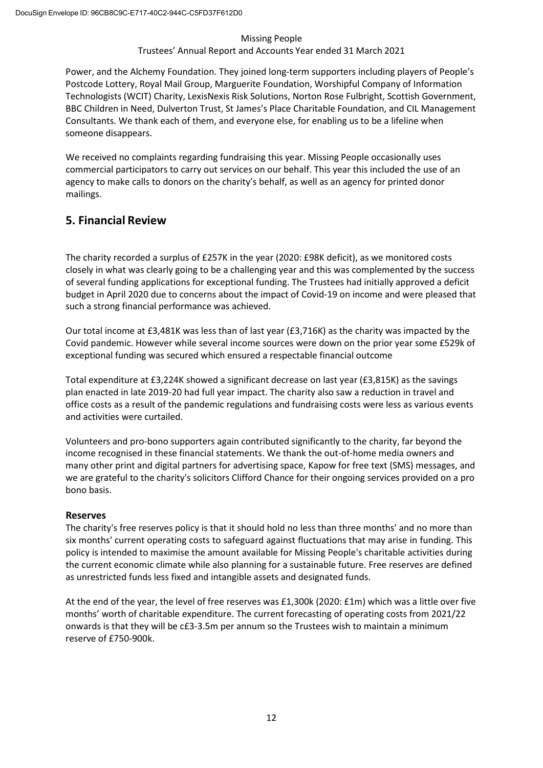# Trustees' Annual Report and Accounts Year ended 31 March 2021

Power, and the Alchemy Foundation. They joined long-term supporters including players of People's Postcode Lottery, Royal Mail Group, Marguerite Foundation, Worshipful Company of Information Technologists (WCIT) Charity, LexisNexis Risk Solutions, Norton Rose Fulbright, Scottish Government, BBC Children in Need, Dulverton Trust, St James's Place Charitable Foundation, and CIL Management Consultants. We thank each of them, and everyone else, for enabling us to be a lifeline when someone disappears.

We received no complaints regarding fundraising this year. Missing People occasionally uses commercial participators to carry out services on our behalf. This year this included the use of an agency to make calls to donors on the charity's behalf, as well as an agency for printed donor mailings.

# <span id="page-12-0"></span>**5. Financial Review**

The charity recorded a surplus of £257K in the year (2020: £98K deficit), as we monitored costs closely in what was clearly going to be a challenging year and this was complemented by the success of several funding applications for exceptional funding. The Trustees had initially approved a deficit budget in April 2020 due to concerns about the impact of Covid-19 on income and were pleased that such a strong financial performance was achieved.

Our total income at £3,481K was less than of last year (£3,716K) as the charity was impacted by the Covid pandemic. However while several income sources were down on the prior year some £529k of exceptional funding was secured which ensured a respectable financial outcome

Total expenditure at £3,224K showed a significant decrease on last year (£3,815K) as the savings plan enacted in late 2019-20 had full year impact. The charity also saw a reduction in travel and office costs as a result of the pandemic regulations and fundraising costs were less as various events and activities were curtailed.

Volunteers and pro-bono supporters again contributed significantly to the charity, far beyond the income recognised in these financial statements. We thank the out-of-home media owners and many other print and digital partners for advertising space, Kapow for free text (SMS) messages, and we are grateful to the charity's solicitors Clifford Chance for their ongoing services provided on a pro bono basis.

# **Reserves**

The charity's free reserves policy is that it should hold no less than three months' and no more than six months' current operating costs to safeguard against fluctuations that may arise in funding. This policy is intended to maximise the amount available for Missing People's charitable activities during the current economic climate while also planning for a sustainable future. Free reserves are defined as unrestricted funds less fixed and intangible assets and designated funds.

At the end of the year, the level of free reserves was £1,300k (2020: £1m) which was a little over five months' worth of charitable expenditure. The current forecasting of operating costs from 2021/22 onwards is that they will be c£3-3.5m per annum so the Trustees wish to maintain a minimum reserve of £750-900k.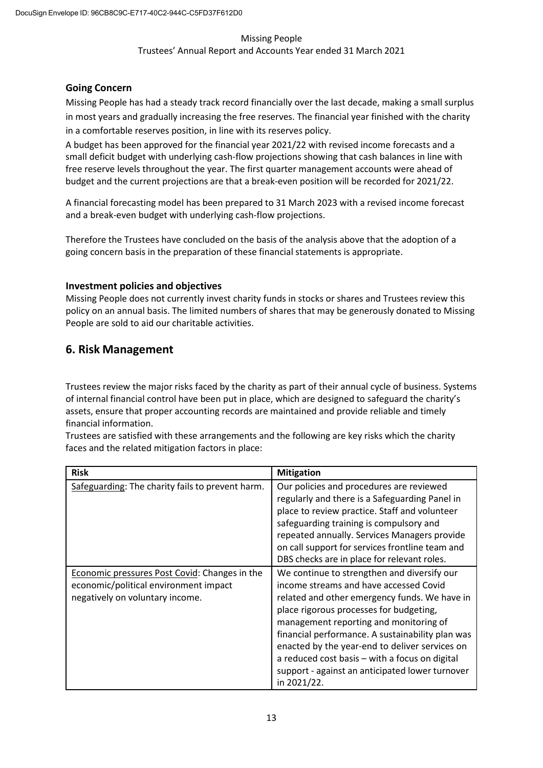# **Going Concern**

Missing People has had a steady track record financially over the last decade, making a small surplus in most years and gradually increasing the free reserves. The financial year finished with the charity in a comfortable reserves position, in line with its reserves policy.

A budget has been approved for the financial year 2021/22 with revised income forecasts and a small deficit budget with underlying cash-flow projections showing that cash balances in line with free reserve levels throughout the year. The first quarter management accounts were ahead of budget and the current projections are that a break-even position will be recorded for 2021/22.

A financial forecasting model has been prepared to 31 March 2023 with a revised income forecast and a break-even budget with underlying cash-flow projections.

Therefore the Trustees have concluded on the basis of the analysis above that the adoption of a going concern basis in the preparation of these financial statements is appropriate.

# **Investment policies and objectives**

Missing People does not currently invest charity funds in stocks or shares and Trustees review this policy on an annual basis. The limited numbers of shares that may be generously donated to Missing People are sold to aid our charitable activities.

# <span id="page-13-0"></span>**6. Risk Management**

Trustees review the major risks faced by the charity as part of their annual cycle of business. Systems of internal financial control have been put in place, which are designed to safeguard the charity's assets, ensure that proper accounting records are maintained and provide reliable and timely financial information.

Trustees are satisfied with these arrangements and the following are key risks which the charity faces and the related mitigation factors in place:

| <b>Risk</b>                                          | <b>Mitigation</b>                                |  |  |
|------------------------------------------------------|--------------------------------------------------|--|--|
| Safeguarding: The charity fails to prevent harm.     | Our policies and procedures are reviewed         |  |  |
|                                                      | regularly and there is a Safeguarding Panel in   |  |  |
|                                                      | place to review practice. Staff and volunteer    |  |  |
|                                                      | safeguarding training is compulsory and          |  |  |
|                                                      | repeated annually. Services Managers provide     |  |  |
|                                                      | on call support for services frontline team and  |  |  |
|                                                      | DBS checks are in place for relevant roles.      |  |  |
| <b>Economic pressures Post Covid: Changes in the</b> | We continue to strengthen and diversify our      |  |  |
| economic/political environment impact                | income streams and have accessed Covid           |  |  |
| negatively on voluntary income.                      | related and other emergency funds. We have in    |  |  |
|                                                      | place rigorous processes for budgeting,          |  |  |
|                                                      | management reporting and monitoring of           |  |  |
|                                                      | financial performance. A sustainability plan was |  |  |
|                                                      | enacted by the year-end to deliver services on   |  |  |
|                                                      | a reduced cost basis - with a focus on digital   |  |  |
|                                                      | support - against an anticipated lower turnover  |  |  |
|                                                      | in 2021/22.                                      |  |  |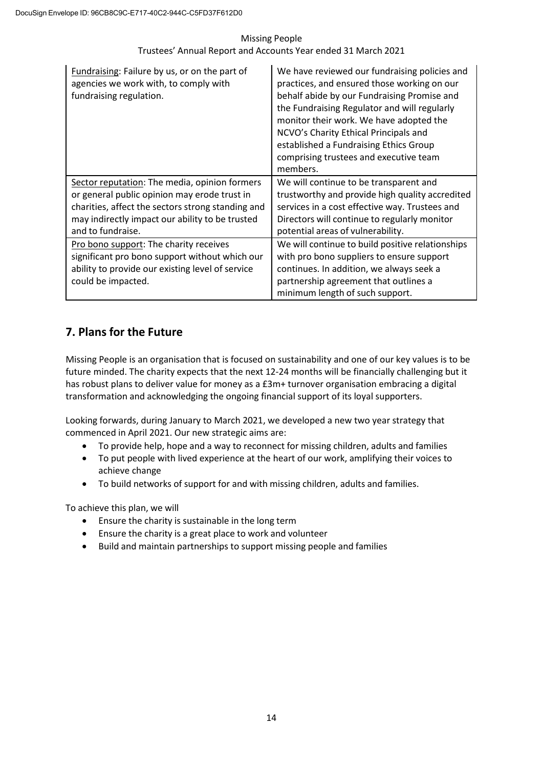| Fundraising: Failure by us, or on the part of<br>agencies we work with, to comply with<br>fundraising regulation.                                                                                                          | We have reviewed our fundraising policies and<br>practices, and ensured those working on our<br>behalf abide by our Fundraising Promise and<br>the Fundraising Regulator and will regularly<br>monitor their work. We have adopted the<br>NCVO's Charity Ethical Principals and<br>established a Fundraising Ethics Group<br>comprising trustees and executive team<br>members. |
|----------------------------------------------------------------------------------------------------------------------------------------------------------------------------------------------------------------------------|---------------------------------------------------------------------------------------------------------------------------------------------------------------------------------------------------------------------------------------------------------------------------------------------------------------------------------------------------------------------------------|
| Sector reputation: The media, opinion formers<br>or general public opinion may erode trust in<br>charities, affect the sectors strong standing and<br>may indirectly impact our ability to be trusted<br>and to fundraise. | We will continue to be transparent and<br>trustworthy and provide high quality accredited<br>services in a cost effective way. Trustees and<br>Directors will continue to regularly monitor<br>potential areas of vulnerability.                                                                                                                                                |
| Pro bono support: The charity receives<br>significant pro bono support without which our<br>ability to provide our existing level of service<br>could be impacted.                                                         | We will continue to build positive relationships<br>with pro bono suppliers to ensure support<br>continues. In addition, we always seek a<br>partnership agreement that outlines a<br>minimum length of such support.                                                                                                                                                           |

# <span id="page-14-0"></span>**7. Plans for the Future**

Missing People is an organisation that is focused on sustainability and one of our key values is to be future minded. The charity expects that the next 12-24 months will be financially challenging but it has robust plans to deliver value for money as a £3m+ turnover organisation embracing a digital transformation and acknowledging the ongoing financial support of its loyal supporters.

Looking forwards, during January to March 2021, we developed a new two year strategy that commenced in April 2021. Our new strategic aims are:

- To provide help, hope and a way to reconnect for missing children, adults and families
- To put people with lived experience at the heart of our work, amplifying their voices to achieve change
- To build networks of support for and with missing children, adults and families.

To achieve this plan, we will

- Ensure the charity is sustainable in the long term
- Ensure the charity is a great place to work and volunteer
- Build and maintain partnerships to support missing people and families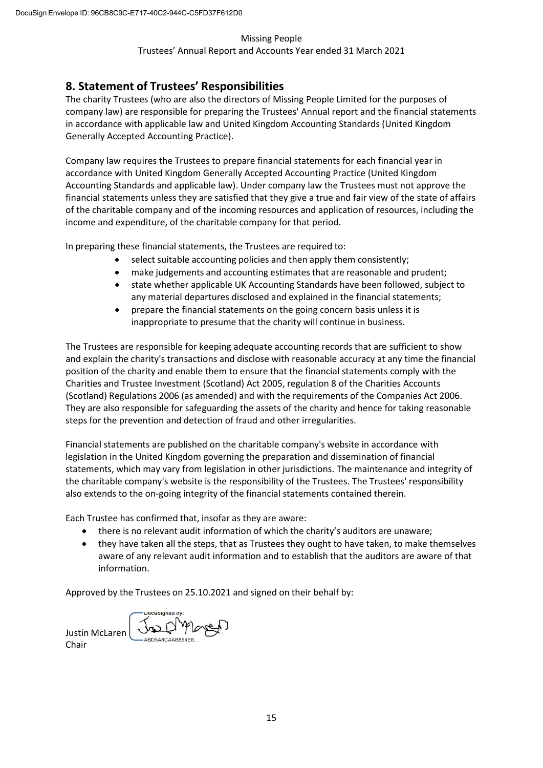# <span id="page-15-0"></span>**8. Statement of Trustees' Responsibilities**

The charity Trustees (who are also the directors of Missing People Limited for the purposes of company law) are responsible for preparing the Trustees' Annual report and the financial statements in accordance with applicable law and United Kingdom Accounting Standards (United Kingdom Generally Accepted Accounting Practice).

Company law requires the Trustees to prepare financial statements for each financial year in accordance with United Kingdom Generally Accepted Accounting Practice (United Kingdom Accounting Standards and applicable law). Under company law the Trustees must not approve the financial statements unless they are satisfied that they give a true and fair view of the state of affairs of the charitable company and of the incoming resources and application of resources, including the income and expenditure, of the charitable company for that period.

In preparing these financial statements, the Trustees are required to:

- select suitable accounting policies and then apply them consistently;
- make judgements and accounting estimates that are reasonable and prudent;
- state whether applicable UK Accounting Standards have been followed, subject to any material departures disclosed and explained in the financial statements;
- prepare the financial statements on the going concern basis unless it is inappropriate to presume that the charity will continue in business.

The Trustees are responsible for keeping adequate accounting records that are sufficient to show and explain the charity's transactions and disclose with reasonable accuracy at any time the financial position of the charity and enable them to ensure that the financial statements comply with the Charities and Trustee Investment (Scotland) Act 2005, regulation 8 of the Charities Accounts (Scotland) Regulations 2006 (as amended) and with the requirements of the Companies Act 2006. They are also responsible for safeguarding the assets of the charity and hence for taking reasonable steps for the prevention and detection of fraud and other irregularities.

Financial statements are published on the charitable company's website in accordance with legislation in the United Kingdom governing the preparation and dissemination of financial statements, which may vary from legislation in other jurisdictions. The maintenance and integrity of the charitable company's website is the responsibility of the Trustees. The Trustees' responsibility also extends to the on-going integrity of the financial statements contained therein.

Each Trustee has confirmed that, insofar as they are aware:

- there is no relevant audit information of which the charity's auditors are unaware;
- they have taken all the steps, that as Trustees they ought to have taken, to make themselves aware of any relevant audit information and to establish that the auditors are aware of that information.

Approved by the Trustees on 25.10.2021 and signed on their behalf by:

Justin McLaren Chair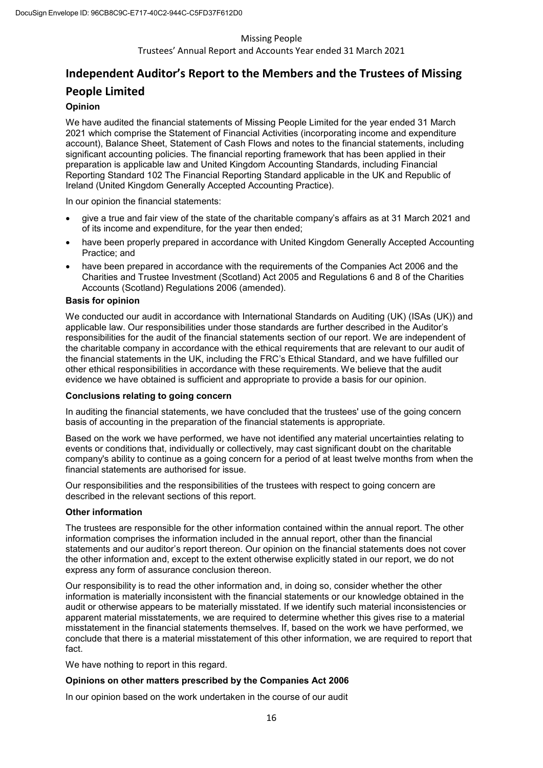Trustees' Annual Report and Accounts Year ended 31 March 2021

# <span id="page-16-0"></span>**Independent Auditor's Report to the Members and the Trustees of Missing People Limited**

## **Opinion**

We have audited the financial statements of Missing People Limited for the year ended 31 March 2021 which comprise the Statement of Financial Activities (incorporating income and expenditure account), Balance Sheet, Statement of Cash Flows and notes to the financial statements, including significant accounting policies. The financial reporting framework that has been applied in their preparation is applicable law and United Kingdom Accounting Standards, including Financial Reporting Standard 102 The Financial Reporting Standard applicable in the UK and Republic of Ireland (United Kingdom Generally Accepted Accounting Practice).

In our opinion the financial statements:

- give a true and fair view of the state of the charitable company's affairs as at 31 March 2021 and of its income and expenditure, for the year then ended;
- have been properly prepared in accordance with United Kingdom Generally Accepted Accounting Practice; and
- have been prepared in accordance with the requirements of the Companies Act 2006 and the Charities and Trustee Investment (Scotland) Act 2005 and Regulations 6 and 8 of the Charities Accounts (Scotland) Regulations 2006 (amended).

## **Basis for opinion**

We conducted our audit in accordance with International Standards on Auditing (UK) (ISAs (UK)) and applicable law. Our responsibilities under those standards are further described in the Auditor's responsibilities for the audit of the financial statements section of our report. We are independent of the charitable company in accordance with the ethical requirements that are relevant to our audit of the financial statements in the UK, including the FRC's Ethical Standard, and we have fulfilled our other ethical responsibilities in accordance with these requirements. We believe that the audit evidence we have obtained is sufficient and appropriate to provide a basis for our opinion.

## **Conclusions relating to going concern**

In auditing the financial statements, we have concluded that the trustees' use of the going concern basis of accounting in the preparation of the financial statements is appropriate.

Based on the work we have performed, we have not identified any material uncertainties relating to events or conditions that, individually or collectively, may cast significant doubt on the charitable company's ability to continue as a going concern for a period of at least twelve months from when the financial statements are authorised for issue.

Our responsibilities and the responsibilities of the trustees with respect to going concern are described in the relevant sections of this report.

## **Other information**

The trustees are responsible for the other information contained within the annual report. The other information comprises the information included in the annual report, other than the financial statements and our auditor's report thereon. Our opinion on the financial statements does not cover the other information and, except to the extent otherwise explicitly stated in our report, we do not express any form of assurance conclusion thereon.

Our responsibility is to read the other information and, in doing so, consider whether the other information is materially inconsistent with the financial statements or our knowledge obtained in the audit or otherwise appears to be materially misstated. If we identify such material inconsistencies or apparent material misstatements, we are required to determine whether this gives rise to a material misstatement in the financial statements themselves. If, based on the work we have performed, we conclude that there is a material misstatement of this other information, we are required to report that fact.

We have nothing to report in this regard.

## **Opinions on other matters prescribed by the Companies Act 2006**

In our opinion based on the work undertaken in the course of our audit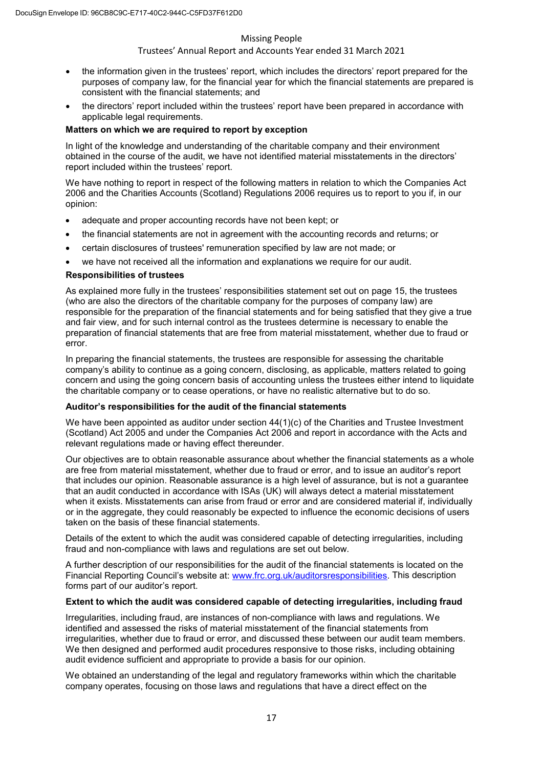## Trustees' Annual Report and Accounts Year ended 31 March 2021

- the information given in the trustees' report, which includes the directors' report prepared for the purposes of company law, for the financial year for which the financial statements are prepared is consistent with the financial statements; and
- the directors' report included within the trustees' report have been prepared in accordance with applicable legal requirements.

## **Matters on which we are required to report by exception**

In light of the knowledge and understanding of the charitable company and their environment obtained in the course of the audit, we have not identified material misstatements in the directors' report included within the trustees' report.

We have nothing to report in respect of the following matters in relation to which the Companies Act 2006 and the Charities Accounts (Scotland) Regulations 2006 requires us to report to you if, in our opinion:

- adequate and proper accounting records have not been kept; or
- the financial statements are not in agreement with the accounting records and returns; or
- certain disclosures of trustees' remuneration specified by law are not made; or
- we have not received all the information and explanations we require for our audit.

#### **Responsibilities of trustees**

As explained more fully in the trustees' responsibilities statement set out on page 15, the trustees (who are also the directors of the charitable company for the purposes of company law) are responsible for the preparation of the financial statements and for being satisfied that they give a true and fair view, and for such internal control as the trustees determine is necessary to enable the preparation of financial statements that are free from material misstatement, whether due to fraud or error.

In preparing the financial statements, the trustees are responsible for assessing the charitable company's ability to continue as a going concern, disclosing, as applicable, matters related to going concern and using the going concern basis of accounting unless the trustees either intend to liquidate the charitable company or to cease operations, or have no realistic alternative but to do so.

#### **Auditor's responsibilities for the audit of the financial statements**

We have been appointed as auditor under section  $44(1)(c)$  of the Charities and Trustee Investment (Scotland) Act 2005 and under the Companies Act 2006 and report in accordance with the Acts and relevant regulations made or having effect thereunder.

Our objectives are to obtain reasonable assurance about whether the financial statements as a whole are free from material misstatement, whether due to fraud or error, and to issue an auditor's report that includes our opinion. Reasonable assurance is a high level of assurance, but is not a guarantee that an audit conducted in accordance with ISAs (UK) will always detect a material misstatement when it exists. Misstatements can arise from fraud or error and are considered material if, individually or in the aggregate, they could reasonably be expected to influence the economic decisions of users taken on the basis of these financial statements.

Details of the extent to which the audit was considered capable of detecting irregularities, including fraud and non-compliance with laws and regulations are set out below.

A further description of our responsibilities for the audit of the financial statements is located on the Financial Reporting Council's website at: [www.frc.org.uk/auditorsresponsibilities. T](https://www.frc.org.uk/auditorsresponsibilities)his description forms part of our auditor's report.

#### **Extent to which the audit was considered capable of detecting irregularities, including fraud**

Irregularities, including fraud, are instances of non-compliance with laws and regulations. We identified and assessed the risks of material misstatement of the financial statements from irregularities, whether due to fraud or error, and discussed these between our audit team members. We then designed and performed audit procedures responsive to those risks, including obtaining audit evidence sufficient and appropriate to provide a basis for our opinion.

We obtained an understanding of the legal and regulatory frameworks within which the charitable company operates, focusing on those laws and regulations that have a direct effect on the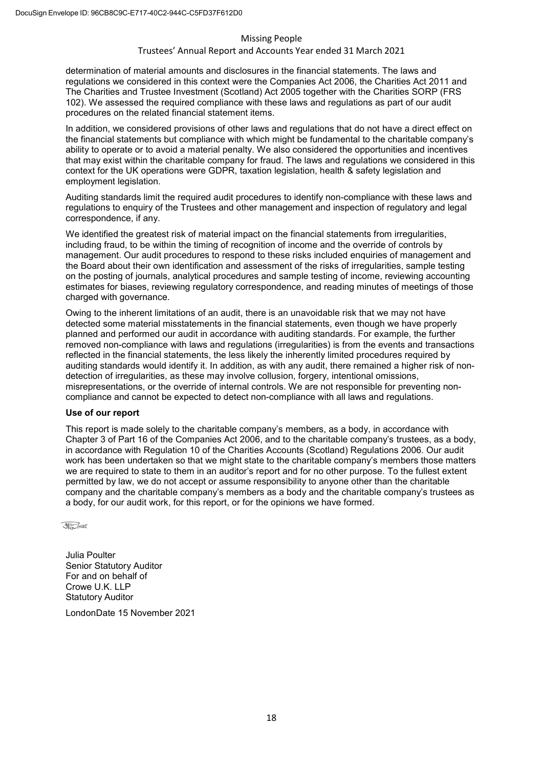#### Trustees' Annual Report and Accounts Year ended 31 March 2021

determination of material amounts and disclosures in the financial statements. The laws and regulations we considered in this context were the Companies Act 2006, the Charities Act 2011 and The Charities and Trustee Investment (Scotland) Act 2005 together with the Charities SORP (FRS 102). We assessed the required compliance with these laws and regulations as part of our audit procedures on the related financial statement items.

In addition, we considered provisions of other laws and regulations that do not have a direct effect on the financial statements but compliance with which might be fundamental to the charitable company's ability to operate or to avoid a material penalty. We also considered the opportunities and incentives that may exist within the charitable company for fraud. The laws and regulations we considered in this context for the UK operations were GDPR, taxation legislation, health & safety legislation and employment legislation.

Auditing standards limit the required audit procedures to identify non-compliance with these laws and regulations to enquiry of the Trustees and other management and inspection of regulatory and legal correspondence, if any.

We identified the greatest risk of material impact on the financial statements from irregularities, including fraud, to be within the timing of recognition of income and the override of controls by management. Our audit procedures to respond to these risks included enquiries of management and the Board about their own identification and assessment of the risks of irregularities, sample testing on the posting of journals, analytical procedures and sample testing of income, reviewing accounting estimates for biases, reviewing regulatory correspondence, and reading minutes of meetings of those charged with governance.

Owing to the inherent limitations of an audit, there is an unavoidable risk that we may not have detected some material misstatements in the financial statements, even though we have properly planned and performed our audit in accordance with auditing standards. For example, the further removed non-compliance with laws and regulations (irregularities) is from the events and transactions reflected in the financial statements, the less likely the inherently limited procedures required by auditing standards would identify it. In addition, as with any audit, there remained a higher risk of nondetection of irregularities, as these may involve collusion, forgery, intentional omissions, misrepresentations, or the override of internal controls. We are not responsible for preventing noncompliance and cannot be expected to detect non-compliance with all laws and regulations.

#### **Use of our report**

This report is made solely to the charitable company's members, as a body, in accordance with Chapter 3 of Part 16 of the Companies Act 2006, and to the charitable company's trustees, as a body, in accordance with Regulation 10 of the Charities Accounts (Scotland) Regulations 2006. Our audit work has been undertaken so that we might state to the charitable company's members those matters we are required to state to them in an auditor's report and for no other purpose. To the fullest extent permitted by law, we do not accept or assume responsibility to anyone other than the charitable company and the charitable company's members as a body and the charitable company's trustees as a body, for our audit work, for this report, or for the opinions we have formed.



Julia Poulter Senior Statutory Auditor For and on behalf of Crowe U.K. LLP Statutory Auditor

London Date:15 November 2021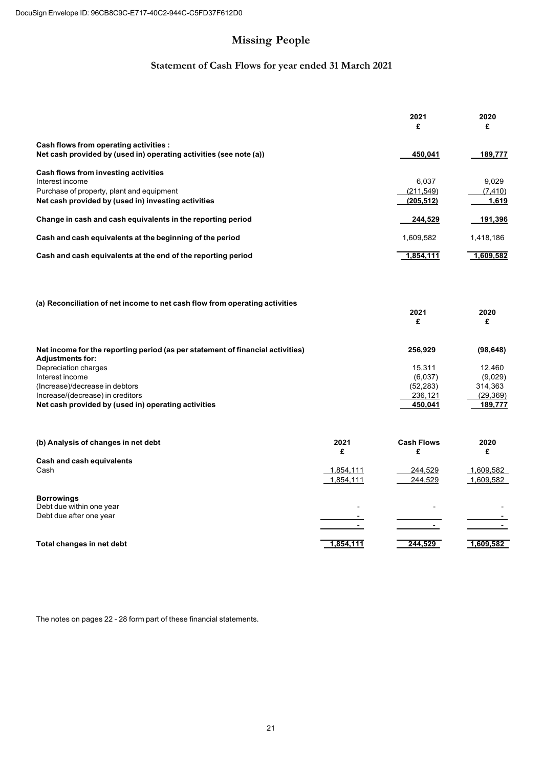#### rustees Annualeport and Accounts Year ended 31 March 2021

practical support as well as a range of indepth support such as counselling and peer to peer support for families to help one another including carol services in England and Scotland and our annual Family ay event In addition we provide a free ost Contact service to reunite family memers who may have een estranged his service is made possile thans to the support of exisNexis is **Solutions** 

here appropriate the charity provides free pulicity services to help find vulnerale missing people o achieve this we wor in partnership with a wide range of companies such as oyal Mail roup and outdoor advertisers such as Cecaux who provide pro ono media space ur team is then on hand to receive information and sightings from the pulic as well as contact from the missingperson every day of the year

#### olunteers

ithout volunteers Missing People could not e a lifeline when someone disappears olunteers gain new rewarding experiences learn from highlyrained staff and gain and develop new sills that we hope will staywith them forever

olunteers mae a real difference to missing people and their families y giving their time in a range of ways From raising vital funds organising events sharing appeals for missing people to providing in depth elpline support

uring the restrictions created y the Covid 1 pandemic sadly many elpline volunteer roles had to e paused aving successfully ensured staff can provide support remotely we now loo forward to ringing our rilliant volunteers ac online too

# **Strategi**Report

# 4 Achievements ndlmpact

# **ServicePerformance**

estimate that over a millionpeople each year in the are directly affected y a disappearance ased on the 10000 people who disappear each having loved ones who live in limo hat numer is shocingly high and as the only national charity supporting missing children adults and their families we are determined to increase the numer of affected people we help each year focused on those who need our help the most o achieve this goal whilst operating within financial constraints we have een focusing on a digital transformation to provide more support and advice online e therefore have introduced a new measure for how many affected people accessed our online support pages and inautumn 2020 we launched a new wesite with a wider range of support advice and informationavailale online

## **Familiesof missingeople**

Ange called us asking for help after her son had disappeared in worrying circumstances. We were able to liaise with the police and quickly launch a publicity appeal, as well as providing emotional support through a very difficult time. Ange called us the next day to say that her son had been found, and to thank usfor our support.

<sup>&</sup>lt;sup>3</sup> Namechangedto protect anonymity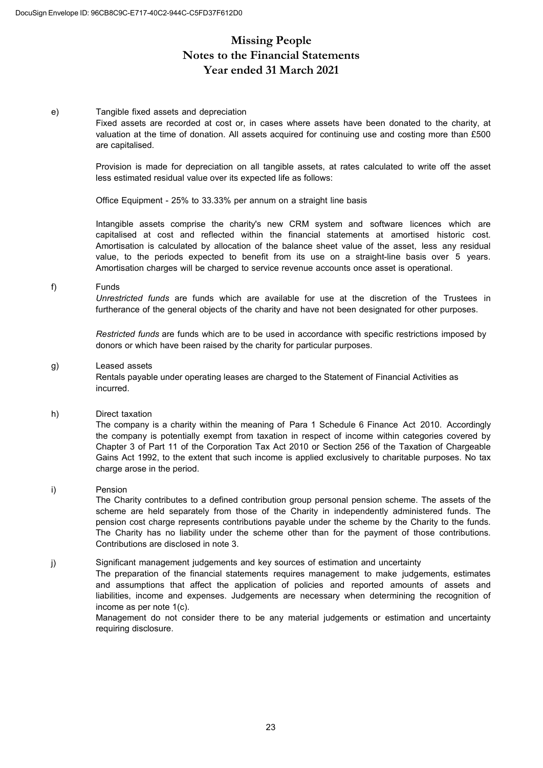# **Contents**

## **Chairs Statement**

rustees eport

- eference and Administrative  $\mathbf{1}$
- $\overline{2}$ Structure overnance and Management

Natureof governingdocument

Charitale Activityin Scotland

rganisation

ecruitment and appointment of rustees

Induction<br>and training

Paypolicy

elated parties and cooperation with other organisations

# 3 Purpose Aimsand Charitale Activities of Pulic Benefit

ision

Mission

Aims

**Charitale Activitiesof Pulic Benefit** 

olunteers

#### Strategiceport

Achievementsand Impact

**Services Performance** 

| <b>Monitoringand Evaluation</b>                                                   | 11 |
|-----------------------------------------------------------------------------------|----|
| FundraisingStatement                                                              | 11 |
| Financialview                                                                     | 12 |
| Management<br>is                                                                  | 13 |
| <b>Plansfor the Future</b>                                                        | 1  |
| Statement of rustees esponsilities                                                | 1  |
| Independent Auditors eport to the Memers and the rustees of Missing People imited | 1  |
| <b>Statement of Financial Activities</b>                                          | 1  |
| <b>BalanceSheet</b>                                                               | 20 |
| <b>Statement of CashFlows</b>                                                     | 21 |
| Notesto the Financia Statements                                                   | 22 |

 $\overline{2}$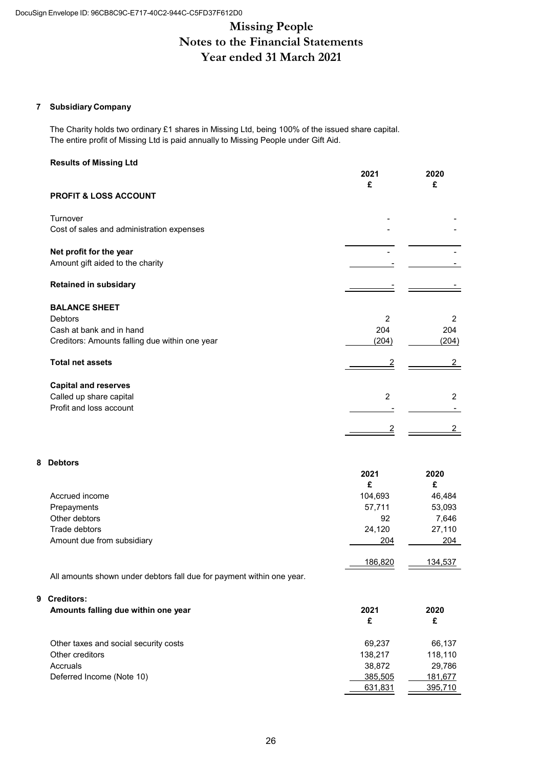# **Missing People Notes to the Financial Statements Year ended 31 March 2021**

## **7 Subsidiary Company**

The Charity holds two ordinary £1 shares in Missing Ltd, being 100% of the issued share capital. The entire profit of Missing Ltd is paid annually to Missing People under Gift Aid.

#### **Results of Missing Ltd**

|                                                | 2021<br>£      | 2020<br>£      |
|------------------------------------------------|----------------|----------------|
| <b>PROFIT &amp; LOSS ACCOUNT</b>               |                |                |
| Turnover                                       |                |                |
| Cost of sales and administration expenses      |                |                |
| Net profit for the year                        |                |                |
| Amount gift aided to the charity               |                |                |
| <b>Retained in subsidary</b>                   |                |                |
| <b>BALANCE SHEET</b>                           |                |                |
| <b>Debtors</b>                                 | 2              | 2              |
| Cash at bank and in hand                       | 204            | 204            |
| Creditors: Amounts falling due within one year | (204)          | (204)          |
| <b>Total net assets</b>                        | 2              |                |
| <b>Capital and reserves</b>                    |                |                |
| Called up share capital                        | $\overline{2}$ | $\overline{2}$ |
| Profit and loss account                        |                |                |
|                                                |                |                |

## **8 Debtors**

|                            | 2021    | 2020    |
|----------------------------|---------|---------|
|                            | £       | £       |
| Accrued income             | 104,693 | 46,484  |
| Prepayments                | 57,711  | 53,093  |
| Other debtors              | 92      | 7,646   |
| Trade debtors              | 24,120  | 27,110  |
| Amount due from subsidiary | 204     | 204     |
|                            | 186,820 | 134,537 |

All amounts shown under debtors fall due for payment within one year.

#### **9 Creditors:**

| Amounts falling due within one year   | 2021    | 2020    |  |
|---------------------------------------|---------|---------|--|
|                                       | £       | £       |  |
| Other taxes and social security costs | 69.237  | 66.137  |  |
| Other creditors                       | 138.217 | 118.110 |  |
| Accruals                              | 38.872  | 29.786  |  |
| Deferred Income (Note 10)             | 385,505 | 181,677 |  |
|                                       | 631,831 | 395,710 |  |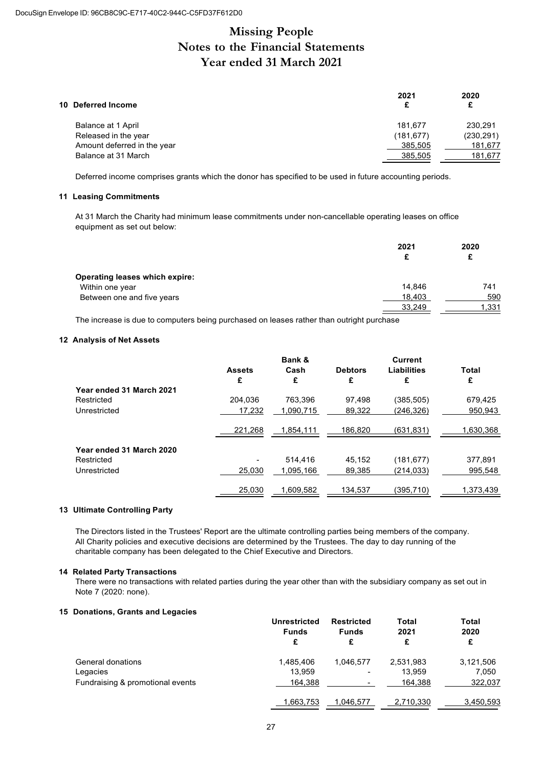# **Missing People Notes to the Financial Statements Year ended 31 March 2021**

| 10 Deferred Income          | 2021<br>£  | 2020<br>£  |
|-----------------------------|------------|------------|
| Balance at 1 April          | 181.677    | 230.291    |
| Released in the year        | (181, 677) | (230, 291) |
| Amount deferred in the year | 385,505    | 181,677    |
| Balance at 31 March         | 385.505    | 181,677    |

Deferred income comprises grants which the donor has specified to be used in future accounting periods.

#### **11 Leasing Commitments**

At 31 March the Charity had minimum lease commitments under non-cancellable operating leases on office equipment as set out below:

|                                | 2021<br>£ | 2020<br>£ |
|--------------------------------|-----------|-----------|
| Operating leases which expire: |           |           |
| Within one year                | 14.846    | 741       |
| Between one and five years     | 18,403    | 590       |
|                                | 33,249    | 1,331     |

The increase is due to computers being purchased on leases rather than outright purchase

#### **12 Analysis of Net Assets**

|                          |               | Bank &    |                | Current     |           |
|--------------------------|---------------|-----------|----------------|-------------|-----------|
|                          | <b>Assets</b> | Cash      | <b>Debtors</b> | Liabilities | Total     |
|                          | £             | £         | £              | £           | £         |
| Year ended 31 March 2021 |               |           |                |             |           |
| Restricted               | 204.036       | 763.396   | 97.498         | (385, 505)  | 679,425   |
| Unrestricted             | 17,232        | 1.090.715 | 89,322         | (246, 326)  | 950.943   |
|                          |               |           |                |             |           |
|                          | 221,268       | 1,854,111 | 186,820        | (631,831)   | 1,630,368 |
| Year ended 31 March 2020 |               |           |                |             |           |
|                          |               |           |                |             |           |
| Restricted               |               | 514.416   | 45.152         | (181, 677)  | 377,891   |
| Unrestricted             | 25,030        | 1.095.166 | 89,385         | (214, 033)  | 995.548   |
|                          |               |           |                |             |           |
|                          | 25,030        | 1,609,582 | 134,537        | (395,710)   | 1,373,439 |

#### **13 Ultimate Controlling Party**

The Directors listed in the Trustees' Report are the ultimate controlling parties being members of the company. All Charity policies and executive decisions are determined by the Trustees. The day to day running of the charitable company has been delegated to the Chief Executive and Directors.

#### **14 Related Party Transactions**

There were no transactions with related parties during the year other than with the subsidiary company as set out in Note 7 (2020: none).

#### **15 Donations, Grants and Legacies**

|                                  | <b>Unrestricted</b> | <b>Restricted</b>        | <b>Total</b> | Total     |
|----------------------------------|---------------------|--------------------------|--------------|-----------|
|                                  | <b>Funds</b>        | <b>Funds</b>             | 2021         | 2020      |
|                                  | £                   | £                        | £            | £         |
| General donations                | 1.485.406           | 1.046.577                | 2,531,983    | 3,121,506 |
| Legacies                         | 13.959              | ۰                        | 13.959       | 7.050     |
| Fundraising & promotional events | 164.388             | $\overline{\phantom{0}}$ | 164,388      | 322,037   |
|                                  | 1,663,753           | 1,046,577                | 2,710,330    | 3,450,593 |